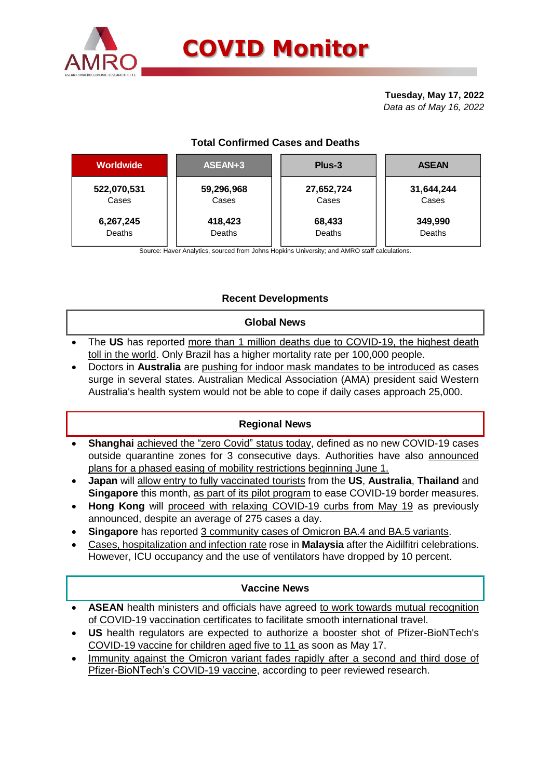

# **COVID Monitor**

**Tuesday, May 17, 2022** *Data as of May 16, 2022*

# **Total Confirmed Cases and Deaths**

| <b>Worldwide</b> | ASEAN+3    | Plus-3     | <b>ASEAN</b> |
|------------------|------------|------------|--------------|
| 522,070,531      | 59,296,968 | 27,652,724 | 31,644,244   |
| Cases            | Cases      | Cases      | Cases        |
| 6,267,245        | 418,423    | 68,433     | 349,990      |
| Deaths           | Deaths     | Deaths     | Deaths       |

Source: Haver Analytics, sourced from Johns Hopkins University; and AMRO staff calculations.

## **Recent Developments**

#### **Global News**

- The **US** has reported more than 1 million deaths due to COVID-19, the highest death toll in the world. Only Brazil has a higher mortality rate per 100,000 people.
- Doctors in **Australia** are pushing for indoor mask mandates to be introduced as cases surge in several states. Australian Medical Association (AMA) president said Western Australia's health system would not be able to cope if daily cases approach 25,000.

## **Regional News**

- **Shanghai** achieved the "zero Covid" status today, defined as no new COVID-19 cases outside quarantine zones for 3 consecutive days. Authorities have also announced plans for a phased easing of mobility restrictions beginning June 1.
- **Japan** will allow entry to fully vaccinated tourists from the **US**, **Australia**, **Thailand** and **Singapore** this month, as part of its pilot program to ease COVID-19 border measures.
- **Hong Kong** will proceed with relaxing COVID-19 curbs from May 19 as previously announced, despite an average of 275 cases a day.
- **Singapore** has reported 3 community cases of Omicron BA.4 and BA.5 variants.
- Cases, hospitalization and infection rate rose in **Malaysia** after the Aidilfitri celebrations. However, ICU occupancy and the use of ventilators have dropped by 10 percent.

## **Vaccine News**

- **ASEAN** health ministers and officials have agreed to work towards mutual recognition of COVID-19 vaccination certificates to facilitate smooth international travel.
- **US** health regulators are expected to authorize a booster shot of Pfizer-BioNTech's COVID-19 vaccine for children aged five to 11 as soon as May 17.
- Immunity against the Omicron variant fades rapidly after a second and third dose of Pfizer-BioNTech's COVID-19 vaccine, according to peer reviewed research.